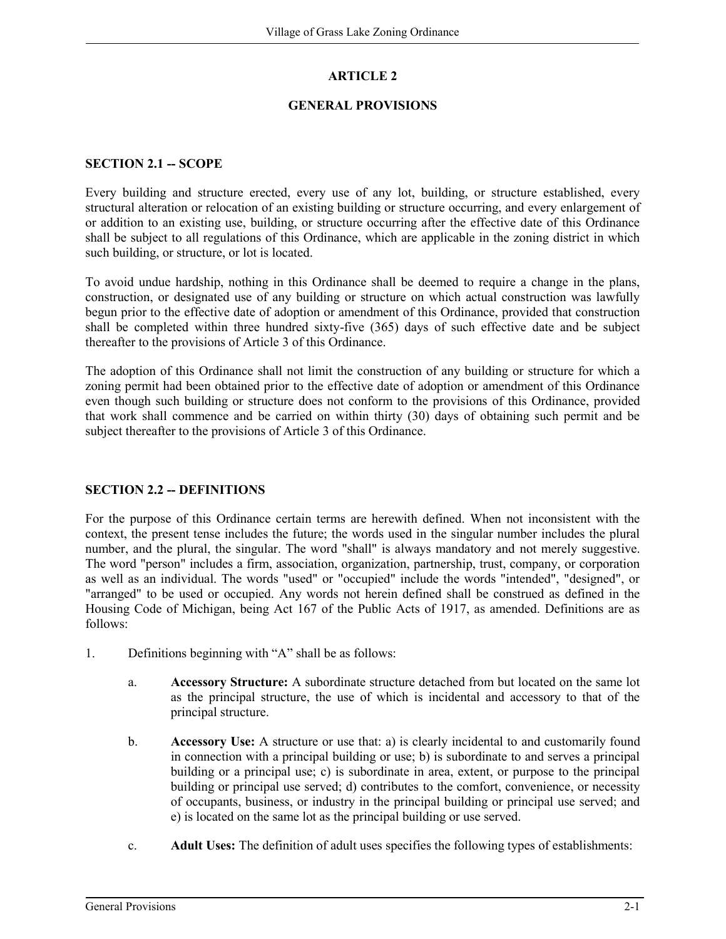# **ARTICLE 2**

### **GENERAL PROVISIONS**

### **SECTION 2.1 -- SCOPE**

Every building and structure erected, every use of any lot, building, or structure established, every structural alteration or relocation of an existing building or structure occurring, and every enlargement of or addition to an existing use, building, or structure occurring after the effective date of this Ordinance shall be subject to all regulations of this Ordinance, which are applicable in the zoning district in which such building, or structure, or lot is located.

To avoid undue hardship, nothing in this Ordinance shall be deemed to require a change in the plans, construction, or designated use of any building or structure on which actual construction was lawfully begun prior to the effective date of adoption or amendment of this Ordinance, provided that construction shall be completed within three hundred sixty-five (365) days of such effective date and be subject thereafter to the provisions of Article 3 of this Ordinance.

The adoption of this Ordinance shall not limit the construction of any building or structure for which a zoning permit had been obtained prior to the effective date of adoption or amendment of this Ordinance even though such building or structure does not conform to the provisions of this Ordinance, provided that work shall commence and be carried on within thirty (30) days of obtaining such permit and be subject thereafter to the provisions of Article 3 of this Ordinance.

## **SECTION 2.2 -- DEFINITIONS**

For the purpose of this Ordinance certain terms are herewith defined. When not inconsistent with the context, the present tense includes the future; the words used in the singular number includes the plural number, and the plural, the singular. The word "shall" is always mandatory and not merely suggestive. The word "person" includes a firm, association, organization, partnership, trust, company, or corporation as well as an individual. The words "used" or "occupied" include the words "intended", "designed", or "arranged" to be used or occupied. Any words not herein defined shall be construed as defined in the Housing Code of Michigan, being Act 167 of the Public Acts of 1917, as amended. Definitions are as follows:

- 1. Definitions beginning with "A" shall be as follows:
	- a. **Accessory Structure:** A subordinate structure detached from but located on the same lot as the principal structure, the use of which is incidental and accessory to that of the principal structure.
	- b. **Accessory Use:** A structure or use that: a) is clearly incidental to and customarily found in connection with a principal building or use; b) is subordinate to and serves a principal building or a principal use; c) is subordinate in area, extent, or purpose to the principal building or principal use served; d) contributes to the comfort, convenience, or necessity of occupants, business, or industry in the principal building or principal use served; and e) is located on the same lot as the principal building or use served.
	- c. **Adult Uses:** The definition of adult uses specifies the following types of establishments: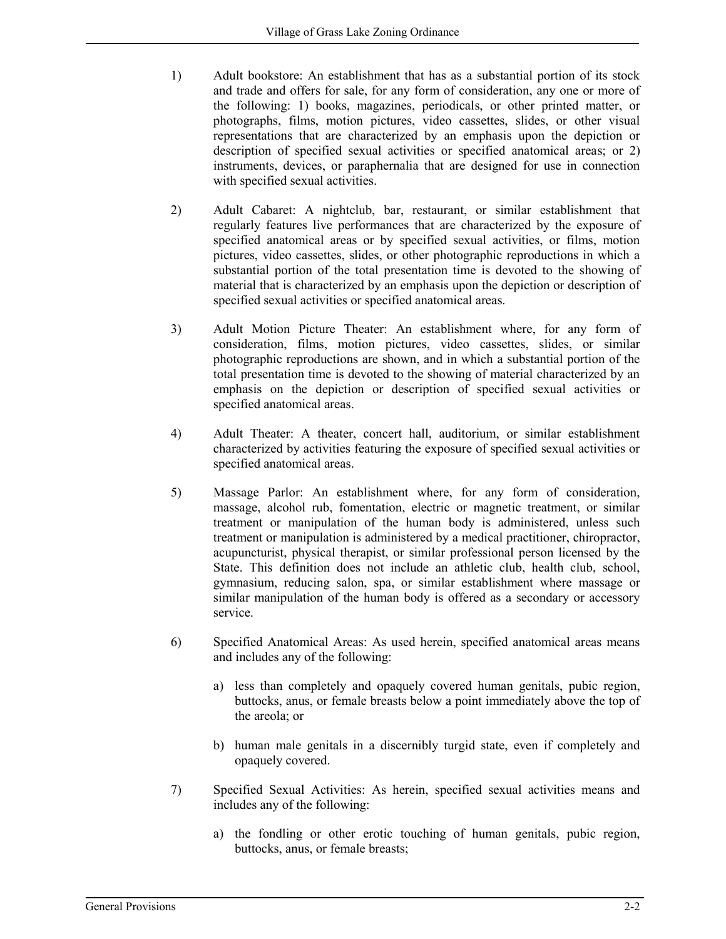- 1) Adult bookstore: An establishment that has as a substantial portion of its stock and trade and offers for sale, for any form of consideration, any one or more of the following: 1) books, magazines, periodicals, or other printed matter, or photographs, films, motion pictures, video cassettes, slides, or other visual representations that are characterized by an emphasis upon the depiction or description of specified sexual activities or specified anatomical areas; or 2) instruments, devices, or paraphernalia that are designed for use in connection with specified sexual activities.
- 2) Adult Cabaret: A nightclub, bar, restaurant, or similar establishment that regularly features live performances that are characterized by the exposure of specified anatomical areas or by specified sexual activities, or films, motion pictures, video cassettes, slides, or other photographic reproductions in which a substantial portion of the total presentation time is devoted to the showing of material that is characterized by an emphasis upon the depiction or description of specified sexual activities or specified anatomical areas.
- 3) Adult Motion Picture Theater: An establishment where, for any form of consideration, films, motion pictures, video cassettes, slides, or similar photographic reproductions are shown, and in which a substantial portion of the total presentation time is devoted to the showing of material characterized by an emphasis on the depiction or description of specified sexual activities or specified anatomical areas.
- 4) Adult Theater: A theater, concert hall, auditorium, or similar establishment characterized by activities featuring the exposure of specified sexual activities or specified anatomical areas.
- 5) Massage Parlor: An establishment where, for any form of consideration, massage, alcohol rub, fomentation, electric or magnetic treatment, or similar treatment or manipulation of the human body is administered, unless such treatment or manipulation is administered by a medical practitioner, chiropractor, acupuncturist, physical therapist, or similar professional person licensed by the State. This definition does not include an athletic club, health club, school, gymnasium, reducing salon, spa, or similar establishment where massage or similar manipulation of the human body is offered as a secondary or accessory service.
- 6) Specified Anatomical Areas: As used herein, specified anatomical areas means and includes any of the following:
	- a) less than completely and opaquely covered human genitals, pubic region, buttocks, anus, or female breasts below a point immediately above the top of the areola; or
	- b) human male genitals in a discernibly turgid state, even if completely and opaquely covered.
- 7) Specified Sexual Activities: As herein, specified sexual activities means and includes any of the following:
	- a) the fondling or other erotic touching of human genitals, pubic region, buttocks, anus, or female breasts;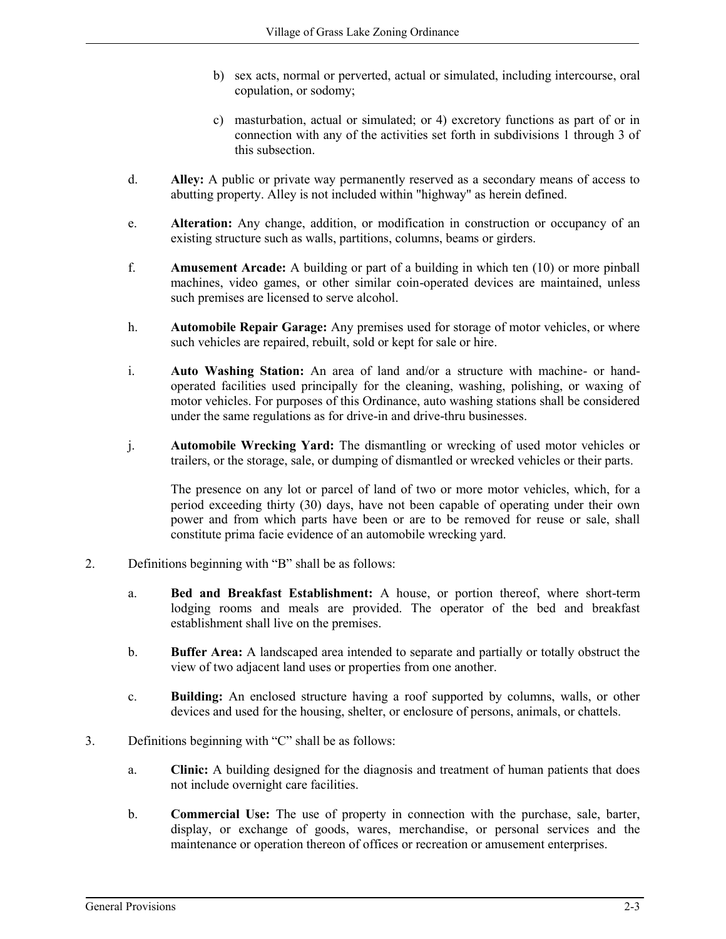- b) sex acts, normal or perverted, actual or simulated, including intercourse, oral copulation, or sodomy;
- c) masturbation, actual or simulated; or 4) excretory functions as part of or in connection with any of the activities set forth in subdivisions 1 through 3 of this subsection.
- d. **Alley:** A public or private way permanently reserved as a secondary means of access to abutting property. Alley is not included within "highway" as herein defined.
- e. **Alteration:** Any change, addition, or modification in construction or occupancy of an existing structure such as walls, partitions, columns, beams or girders.
- f. **Amusement Arcade:** A building or part of a building in which ten (10) or more pinball machines, video games, or other similar coin-operated devices are maintained, unless such premises are licensed to serve alcohol.
- h. **Automobile Repair Garage:** Any premises used for storage of motor vehicles, or where such vehicles are repaired, rebuilt, sold or kept for sale or hire.
- i. **Auto Washing Station:** An area of land and/or a structure with machine- or handoperated facilities used principally for the cleaning, washing, polishing, or waxing of motor vehicles. For purposes of this Ordinance, auto washing stations shall be considered under the same regulations as for drive-in and drive-thru businesses.
- j. **Automobile Wrecking Yard:** The dismantling or wrecking of used motor vehicles or trailers, or the storage, sale, or dumping of dismantled or wrecked vehicles or their parts.

The presence on any lot or parcel of land of two or more motor vehicles, which, for a period exceeding thirty (30) days, have not been capable of operating under their own power and from which parts have been or are to be removed for reuse or sale, shall constitute prima facie evidence of an automobile wrecking yard.

- 2. Definitions beginning with "B" shall be as follows:
	- a. **Bed and Breakfast Establishment:** A house, or portion thereof, where short-term lodging rooms and meals are provided. The operator of the bed and breakfast establishment shall live on the premises.
	- b. **Buffer Area:** A landscaped area intended to separate and partially or totally obstruct the view of two adjacent land uses or properties from one another.
	- c. **Building:** An enclosed structure having a roof supported by columns, walls, or other devices and used for the housing, shelter, or enclosure of persons, animals, or chattels.
- 3. Definitions beginning with "C" shall be as follows:
	- a. **Clinic:** A building designed for the diagnosis and treatment of human patients that does not include overnight care facilities.
	- b. **Commercial Use:** The use of property in connection with the purchase, sale, barter, display, or exchange of goods, wares, merchandise, or personal services and the maintenance or operation thereon of offices or recreation or amusement enterprises.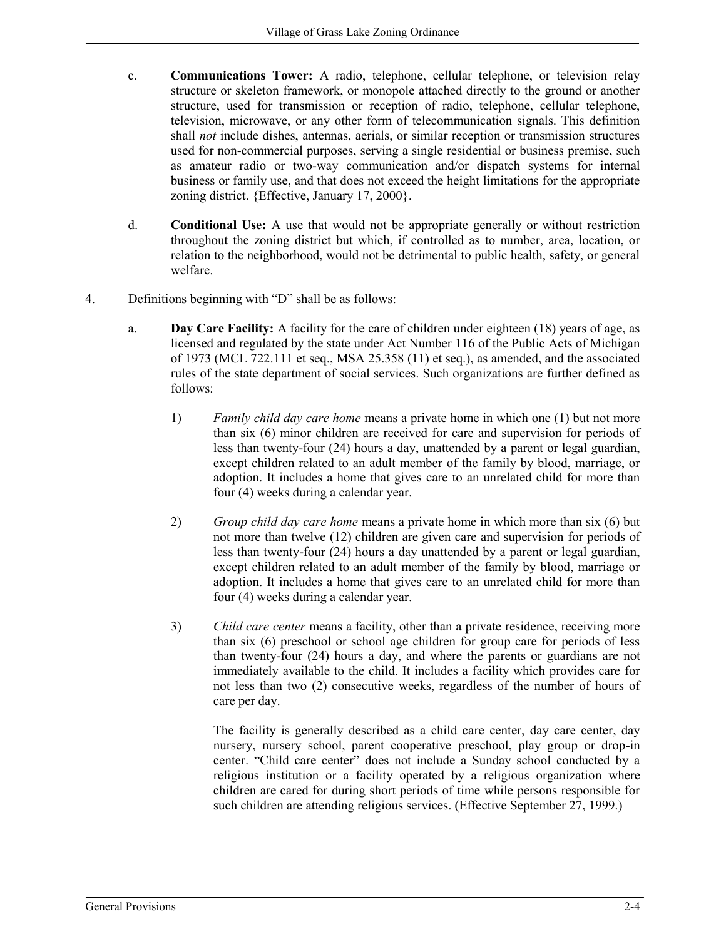- c. **Communications Tower:** A radio, telephone, cellular telephone, or television relay structure or skeleton framework, or monopole attached directly to the ground or another structure, used for transmission or reception of radio, telephone, cellular telephone, television, microwave, or any other form of telecommunication signals. This definition shall *not* include dishes, antennas, aerials, or similar reception or transmission structures used for non-commercial purposes, serving a single residential or business premise, such as amateur radio or two-way communication and/or dispatch systems for internal business or family use, and that does not exceed the height limitations for the appropriate zoning district. {Effective, January 17, 2000}.
- d. **Conditional Use:** A use that would not be appropriate generally or without restriction throughout the zoning district but which, if controlled as to number, area, location, or relation to the neighborhood, would not be detrimental to public health, safety, or general welfare.
- 4. Definitions beginning with "D" shall be as follows:
	- a. **Day Care Facility:** A facility for the care of children under eighteen (18) years of age, as licensed and regulated by the state under Act Number 116 of the Public Acts of Michigan of 1973 (MCL 722.111 et seq., MSA 25.358 (11) et seq.), as amended, and the associated rules of the state department of social services. Such organizations are further defined as follows:
		- 1) *Family child day care home* means a private home in which one (1) but not more than six (6) minor children are received for care and supervision for periods of less than twenty-four (24) hours a day, unattended by a parent or legal guardian, except children related to an adult member of the family by blood, marriage, or adoption. It includes a home that gives care to an unrelated child for more than four (4) weeks during a calendar year.
		- 2) *Group child day care home* means a private home in which more than six (6) but not more than twelve (12) children are given care and supervision for periods of less than twenty-four (24) hours a day unattended by a parent or legal guardian, except children related to an adult member of the family by blood, marriage or adoption. It includes a home that gives care to an unrelated child for more than four (4) weeks during a calendar year.
		- 3) *Child care center* means a facility, other than a private residence, receiving more than six (6) preschool or school age children for group care for periods of less than twenty-four (24) hours a day, and where the parents or guardians are not immediately available to the child. It includes a facility which provides care for not less than two (2) consecutive weeks, regardless of the number of hours of care per day.

The facility is generally described as a child care center, day care center, day nursery, nursery school, parent cooperative preschool, play group or drop-in center. "Child care center" does not include a Sunday school conducted by a religious institution or a facility operated by a religious organization where children are cared for during short periods of time while persons responsible for such children are attending religious services. (Effective September 27, 1999.)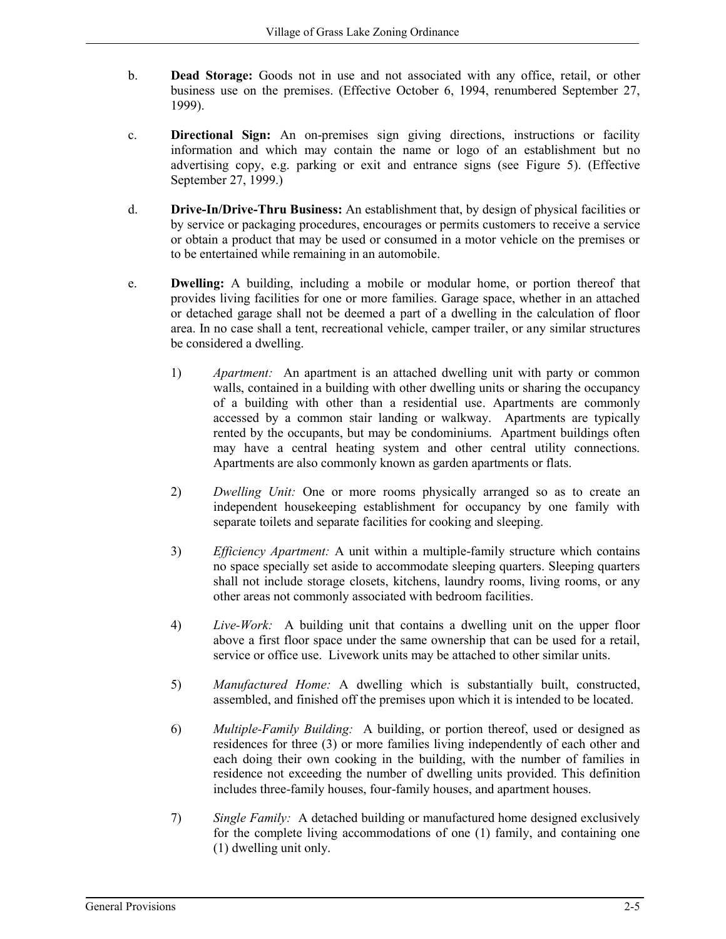- b. **Dead Storage:** Goods not in use and not associated with any office, retail, or other business use on the premises. (Effective October 6, 1994, renumbered September 27, 1999).
- c. **Directional Sign:** An on-premises sign giving directions, instructions or facility information and which may contain the name or logo of an establishment but no advertising copy, e.g. parking or exit and entrance signs (see Figure 5). (Effective September 27, 1999.)
- d. **Drive-In/Drive-Thru Business:** An establishment that, by design of physical facilities or by service or packaging procedures, encourages or permits customers to receive a service or obtain a product that may be used or consumed in a motor vehicle on the premises or to be entertained while remaining in an automobile.
- e. **Dwelling:** A building, including a mobile or modular home, or portion thereof that provides living facilities for one or more families. Garage space, whether in an attached or detached garage shall not be deemed a part of a dwelling in the calculation of floor area. In no case shall a tent, recreational vehicle, camper trailer, or any similar structures be considered a dwelling.
	- 1) *Apartment:* An apartment is an attached dwelling unit with party or common walls, contained in a building with other dwelling units or sharing the occupancy of a building with other than a residential use. Apartments are commonly accessed by a common stair landing or walkway. Apartments are typically rented by the occupants, but may be condominiums. Apartment buildings often may have a central heating system and other central utility connections. Apartments are also commonly known as garden apartments or flats.
	- 2) *Dwelling Unit:* One or more rooms physically arranged so as to create an independent housekeeping establishment for occupancy by one family with separate toilets and separate facilities for cooking and sleeping.
	- 3) *Efficiency Apartment:* A unit within a multiple-family structure which contains no space specially set aside to accommodate sleeping quarters. Sleeping quarters shall not include storage closets, kitchens, laundry rooms, living rooms, or any other areas not commonly associated with bedroom facilities.
	- 4) *Live-Work:* A building unit that contains a dwelling unit on the upper floor above a first floor space under the same ownership that can be used for a retail, service or office use. Livework units may be attached to other similar units.
	- 5) *Manufactured Home:* A dwelling which is substantially built, constructed, assembled, and finished off the premises upon which it is intended to be located.
	- 6) *Multiple-Family Building:* A building, or portion thereof, used or designed as residences for three (3) or more families living independently of each other and each doing their own cooking in the building, with the number of families in residence not exceeding the number of dwelling units provided. This definition includes three-family houses, four-family houses, and apartment houses.
	- 7) *Single Family:* A detached building or manufactured home designed exclusively for the complete living accommodations of one (1) family, and containing one (1) dwelling unit only.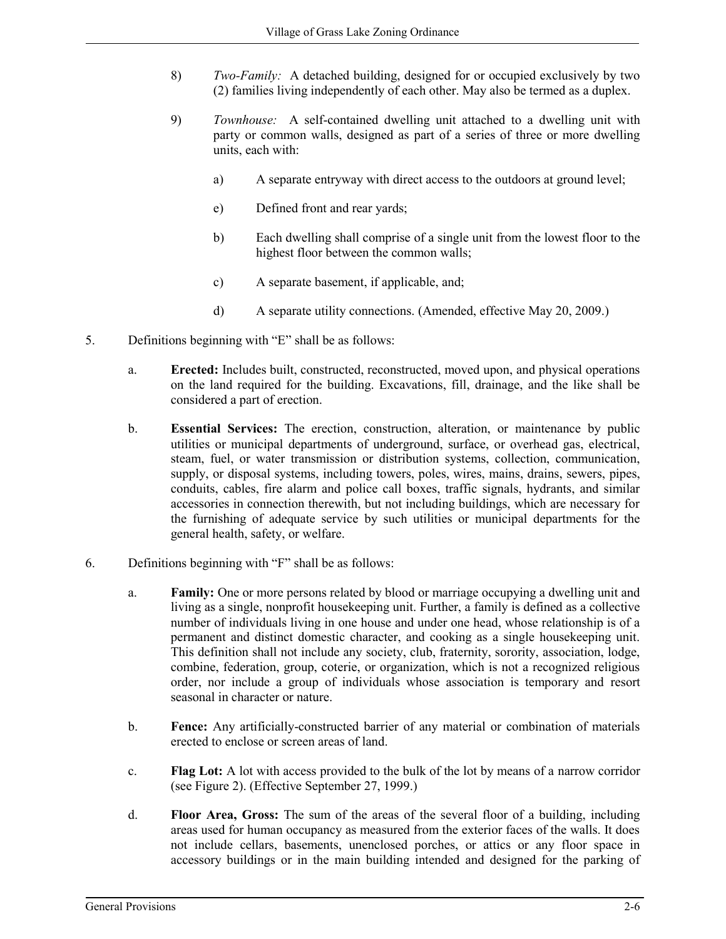- 8) *Two-Family:* A detached building, designed for or occupied exclusively by two (2) families living independently of each other. May also be termed as a duplex.
- 9) *Townhouse:* A self-contained dwelling unit attached to a dwelling unit with party or common walls, designed as part of a series of three or more dwelling units, each with:
	- a) A separate entryway with direct access to the outdoors at ground level;
	- e) Defined front and rear yards;
	- b) Each dwelling shall comprise of a single unit from the lowest floor to the highest floor between the common walls;
	- c) A separate basement, if applicable, and;
	- d) A separate utility connections. (Amended, effective May 20, 2009.)
- 5. Definitions beginning with "E" shall be as follows:
	- a. **Erected:** Includes built, constructed, reconstructed, moved upon, and physical operations on the land required for the building. Excavations, fill, drainage, and the like shall be considered a part of erection.
	- b. **Essential Services:** The erection, construction, alteration, or maintenance by public utilities or municipal departments of underground, surface, or overhead gas, electrical, steam, fuel, or water transmission or distribution systems, collection, communication, supply, or disposal systems, including towers, poles, wires, mains, drains, sewers, pipes, conduits, cables, fire alarm and police call boxes, traffic signals, hydrants, and similar accessories in connection therewith, but not including buildings, which are necessary for the furnishing of adequate service by such utilities or municipal departments for the general health, safety, or welfare.
- 6. Definitions beginning with "F" shall be as follows:
	- a. **Family:** One or more persons related by blood or marriage occupying a dwelling unit and living as a single, nonprofit housekeeping unit. Further, a family is defined as a collective number of individuals living in one house and under one head, whose relationship is of a permanent and distinct domestic character, and cooking as a single housekeeping unit. This definition shall not include any society, club, fraternity, sorority, association, lodge, combine, federation, group, coterie, or organization, which is not a recognized religious order, nor include a group of individuals whose association is temporary and resort seasonal in character or nature.
	- b. **Fence:** Any artificially-constructed barrier of any material or combination of materials erected to enclose or screen areas of land.
	- c. **Flag Lot:** A lot with access provided to the bulk of the lot by means of a narrow corridor (see Figure 2). (Effective September 27, 1999.)
	- d. **Floor Area, Gross:** The sum of the areas of the several floor of a building, including areas used for human occupancy as measured from the exterior faces of the walls. It does not include cellars, basements, unenclosed porches, or attics or any floor space in accessory buildings or in the main building intended and designed for the parking of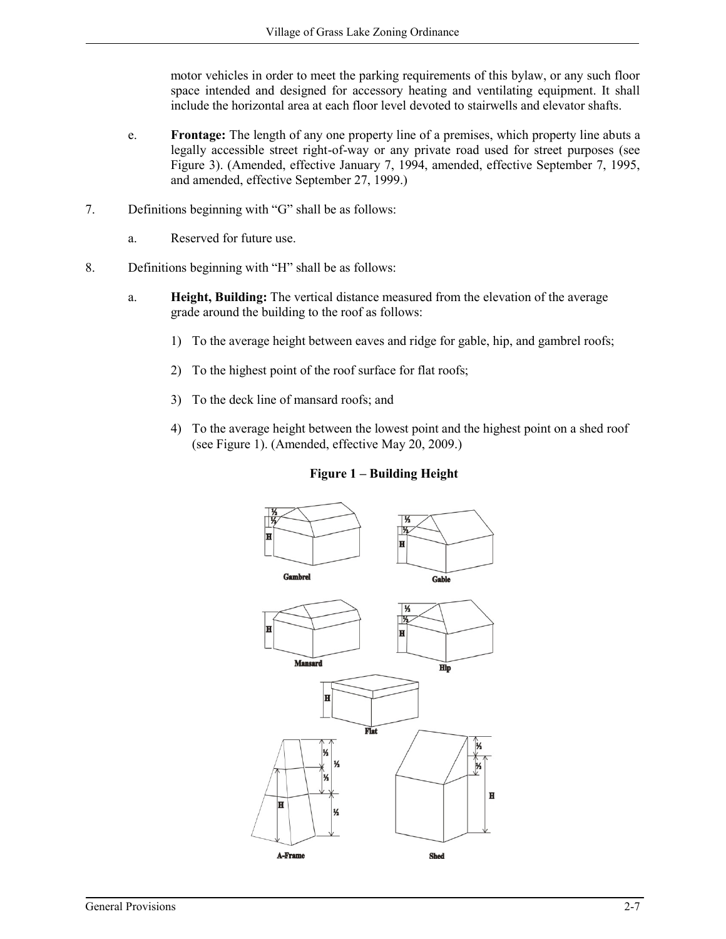motor vehicles in order to meet the parking requirements of this bylaw, or any such floor space intended and designed for accessory heating and ventilating equipment. It shall include the horizontal area at each floor level devoted to stairwells and elevator shafts.

- e. **Frontage:** The length of any one property line of a premises, which property line abuts a legally accessible street right-of-way or any private road used for street purposes (see Figure 3). (Amended, effective January 7, 1994, amended, effective September 7, 1995, and amended, effective September 27, 1999.)
- 7. Definitions beginning with "G" shall be as follows:
	- a. Reserved for future use.
- 8. Definitions beginning with "H" shall be as follows:
	- a. **Height, Building:** The vertical distance measured from the elevation of the average grade around the building to the roof as follows:
		- 1) To the average height between eaves and ridge for gable, hip, and gambrel roofs;
		- 2) To the highest point of the roof surface for flat roofs;
		- 3) To the deck line of mansard roofs; and
		- 4) To the average height between the lowest point and the highest point on a shed roof (see Figure 1). (Amended, effective May 20, 2009.)



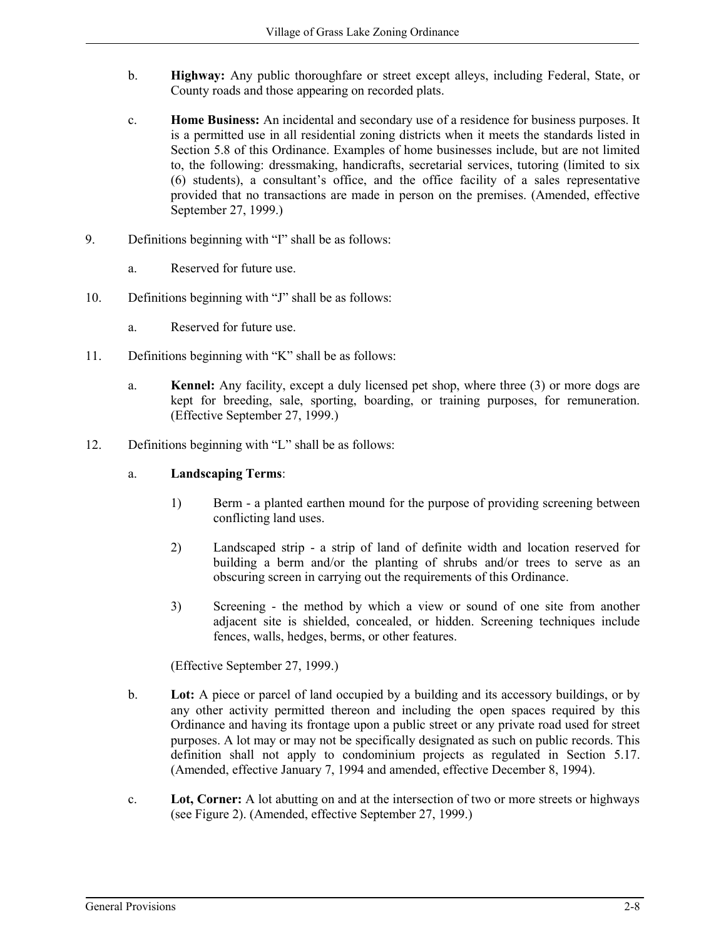- b. **Highway:** Any public thoroughfare or street except alleys, including Federal, State, or County roads and those appearing on recorded plats.
- c. **Home Business:** An incidental and secondary use of a residence for business purposes. It is a permitted use in all residential zoning districts when it meets the standards listed in Section 5.8 of this Ordinance. Examples of home businesses include, but are not limited to, the following: dressmaking, handicrafts, secretarial services, tutoring (limited to six (6) students), a consultant's office, and the office facility of a sales representative provided that no transactions are made in person on the premises. (Amended, effective September 27, 1999.)
- 9. Definitions beginning with "I" shall be as follows:
	- a. Reserved for future use.
- 10. Definitions beginning with "J" shall be as follows:
	- a. Reserved for future use.
- 11. Definitions beginning with "K" shall be as follows:
	- a. **Kennel:** Any facility, except a duly licensed pet shop, where three (3) or more dogs are kept for breeding, sale, sporting, boarding, or training purposes, for remuneration. (Effective September 27, 1999.)
- 12. Definitions beginning with "L" shall be as follows:
	- a. **Landscaping Terms**:
		- 1) Berm a planted earthen mound for the purpose of providing screening between conflicting land uses.
		- 2) Landscaped strip a strip of land of definite width and location reserved for building a berm and/or the planting of shrubs and/or trees to serve as an obscuring screen in carrying out the requirements of this Ordinance.
		- 3) Screening the method by which a view or sound of one site from another adjacent site is shielded, concealed, or hidden. Screening techniques include fences, walls, hedges, berms, or other features.

(Effective September 27, 1999.)

- b. **Lot:** A piece or parcel of land occupied by a building and its accessory buildings, or by any other activity permitted thereon and including the open spaces required by this Ordinance and having its frontage upon a public street or any private road used for street purposes. A lot may or may not be specifically designated as such on public records. This definition shall not apply to condominium projects as regulated in Section 5.17. (Amended, effective January 7, 1994 and amended, effective December 8, 1994).
- c. **Lot, Corner:** A lot abutting on and at the intersection of two or more streets or highways (see Figure 2). (Amended, effective September 27, 1999.)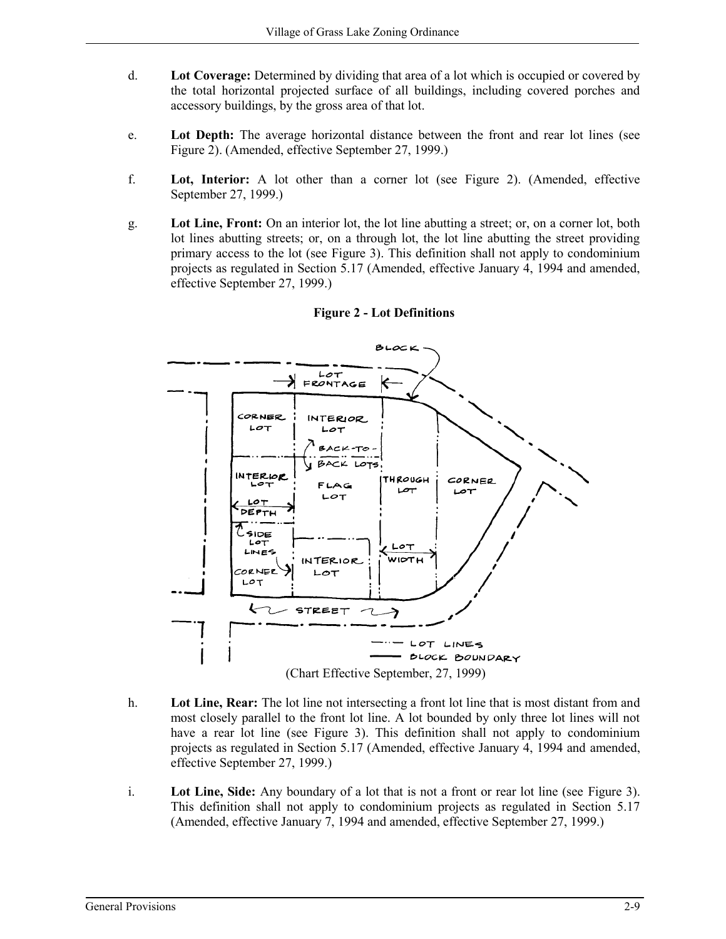- d. **Lot Coverage:** Determined by dividing that area of a lot which is occupied or covered by the total horizontal projected surface of all buildings, including covered porches and accessory buildings, by the gross area of that lot.
- e. **Lot Depth:** The average horizontal distance between the front and rear lot lines (see Figure 2). (Amended, effective September 27, 1999.)
- f. **Lot, Interior:** A lot other than a corner lot (see Figure 2). (Amended, effective September 27, 1999.)
- g. **Lot Line, Front:** On an interior lot, the lot line abutting a street; or, on a corner lot, both lot lines abutting streets; or, on a through lot, the lot line abutting the street providing primary access to the lot (see Figure 3). This definition shall not apply to condominium projects as regulated in Section 5.17 (Amended, effective January 4, 1994 and amended, effective September 27, 1999.)



# **Figure 2 - Lot Definitions**

- h. **Lot Line, Rear:** The lot line not intersecting a front lot line that is most distant from and most closely parallel to the front lot line. A lot bounded by only three lot lines will not have a rear lot line (see Figure 3). This definition shall not apply to condominium projects as regulated in Section 5.17 (Amended, effective January 4, 1994 and amended, effective September 27, 1999.)
- i. **Lot Line, Side:** Any boundary of a lot that is not a front or rear lot line (see Figure 3). This definition shall not apply to condominium projects as regulated in Section 5.17 (Amended, effective January 7, 1994 and amended, effective September 27, 1999.)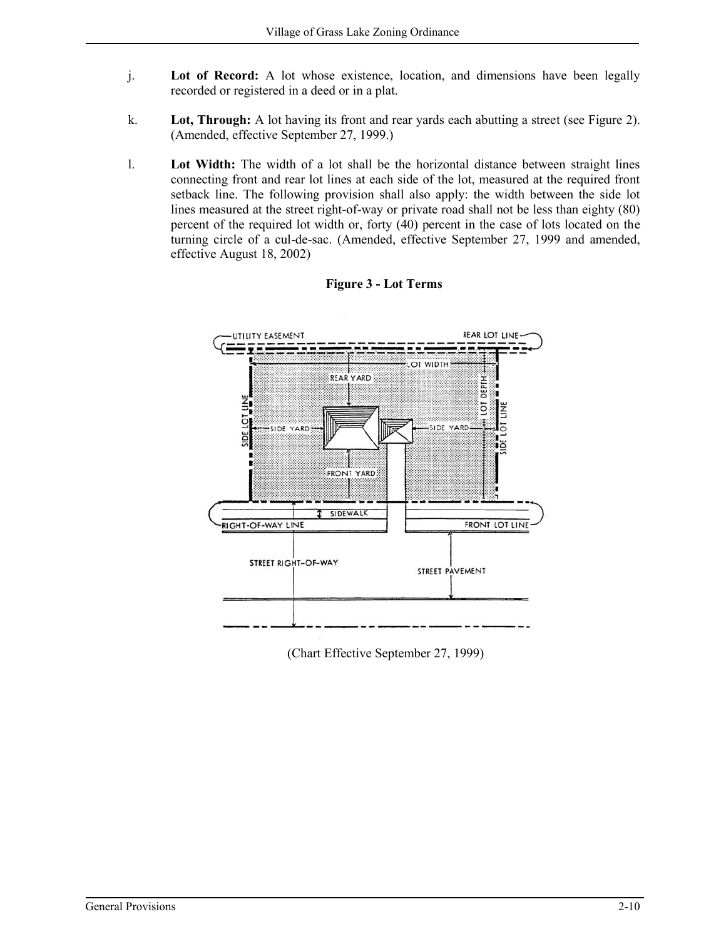- j. **Lot of Record:** A lot whose existence, location, and dimensions have been legally recorded or registered in a deed or in a plat.
- k. **Lot, Through:** A lot having its front and rear yards each abutting a street (see Figure 2). (Amended, effective September 27, 1999.)
- l. **Lot Width:** The width of a lot shall be the horizontal distance between straight lines connecting front and rear lot lines at each side of the lot, measured at the required front setback line. The following provision shall also apply: the width between the side lot lines measured at the street right-of-way or private road shall not be less than eighty (80) percent of the required lot width or, forty (40) percent in the case of lots located on the turning circle of a cul-de-sac. (Amended, effective September 27, 1999 and amended, effective August 18, 2002)





(Chart Effective September 27, 1999)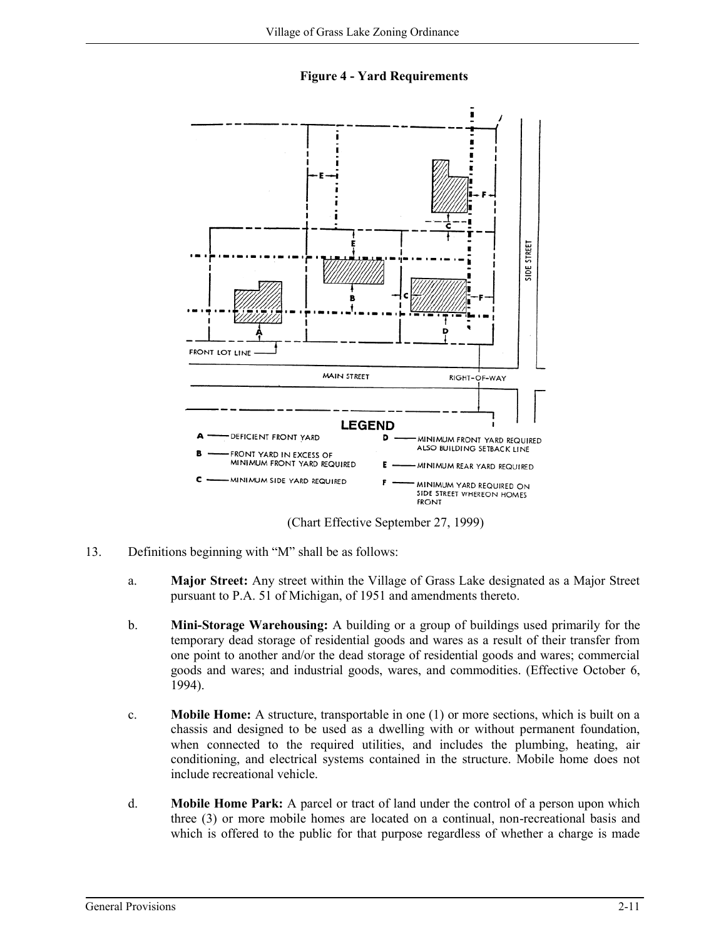**Figure 4 - Yard Requirements**



(Chart Effective September 27, 1999)

- 13. Definitions beginning with "M" shall be as follows:
	- a. **Major Street:** Any street within the Village of Grass Lake designated as a Major Street pursuant to P.A. 51 of Michigan, of 1951 and amendments thereto.
	- b. **Mini-Storage Warehousing:** A building or a group of buildings used primarily for the temporary dead storage of residential goods and wares as a result of their transfer from one point to another and/or the dead storage of residential goods and wares; commercial goods and wares; and industrial goods, wares, and commodities. (Effective October 6, 1994).
	- c. **Mobile Home:** A structure, transportable in one (1) or more sections, which is built on a chassis and designed to be used as a dwelling with or without permanent foundation, when connected to the required utilities, and includes the plumbing, heating, air conditioning, and electrical systems contained in the structure. Mobile home does not include recreational vehicle.
	- d. **Mobile Home Park:** A parcel or tract of land under the control of a person upon which three (3) or more mobile homes are located on a continual, non-recreational basis and which is offered to the public for that purpose regardless of whether a charge is made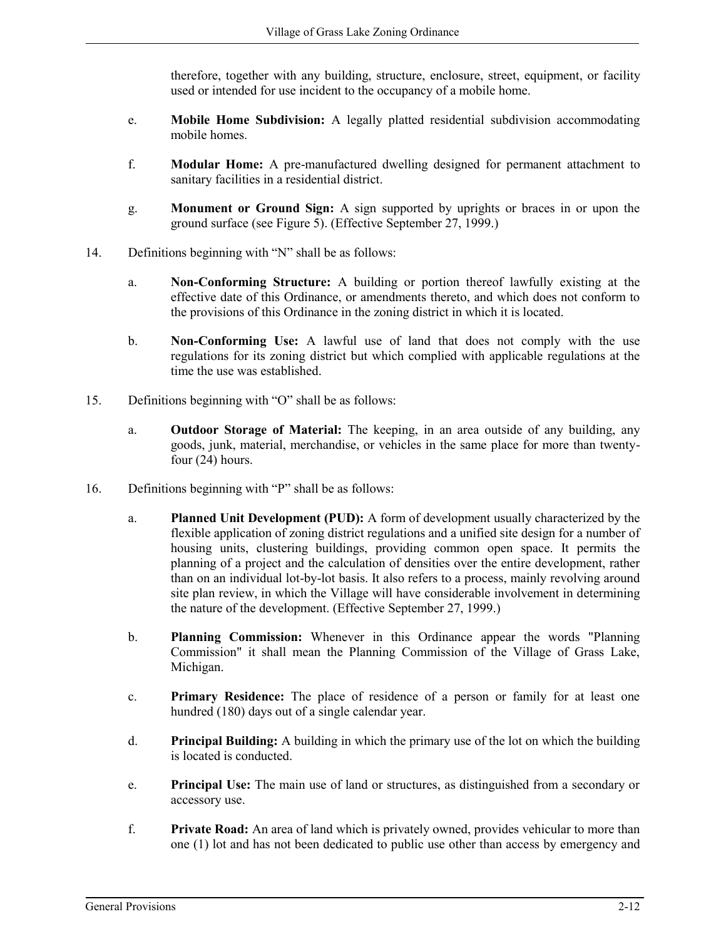therefore, together with any building, structure, enclosure, street, equipment, or facility used or intended for use incident to the occupancy of a mobile home.

- e. **Mobile Home Subdivision:** A legally platted residential subdivision accommodating mobile homes.
- f. **Modular Home:** A pre-manufactured dwelling designed for permanent attachment to sanitary facilities in a residential district.
- g. **Monument or Ground Sign:** A sign supported by uprights or braces in or upon the ground surface (see Figure 5). (Effective September 27, 1999.)
- 14. Definitions beginning with "N" shall be as follows:
	- a. **Non-Conforming Structure:** A building or portion thereof lawfully existing at the effective date of this Ordinance, or amendments thereto, and which does not conform to the provisions of this Ordinance in the zoning district in which it is located.
	- b. **Non-Conforming Use:** A lawful use of land that does not comply with the use regulations for its zoning district but which complied with applicable regulations at the time the use was established.
- 15. Definitions beginning with "O" shall be as follows:
	- a. **Outdoor Storage of Material:** The keeping, in an area outside of any building, any goods, junk, material, merchandise, or vehicles in the same place for more than twentyfour (24) hours.
- 16. Definitions beginning with "P" shall be as follows:
	- a. **Planned Unit Development (PUD):** A form of development usually characterized by the flexible application of zoning district regulations and a unified site design for a number of housing units, clustering buildings, providing common open space. It permits the planning of a project and the calculation of densities over the entire development, rather than on an individual lot-by-lot basis. It also refers to a process, mainly revolving around site plan review, in which the Village will have considerable involvement in determining the nature of the development. (Effective September 27, 1999.)
	- b. **Planning Commission:** Whenever in this Ordinance appear the words "Planning Commission" it shall mean the Planning Commission of the Village of Grass Lake, Michigan.
	- c. **Primary Residence:** The place of residence of a person or family for at least one hundred (180) days out of a single calendar year.
	- d. **Principal Building:** A building in which the primary use of the lot on which the building is located is conducted.
	- e. **Principal Use:** The main use of land or structures, as distinguished from a secondary or accessory use.
	- f. **Private Road:** An area of land which is privately owned, provides vehicular to more than one (1) lot and has not been dedicated to public use other than access by emergency and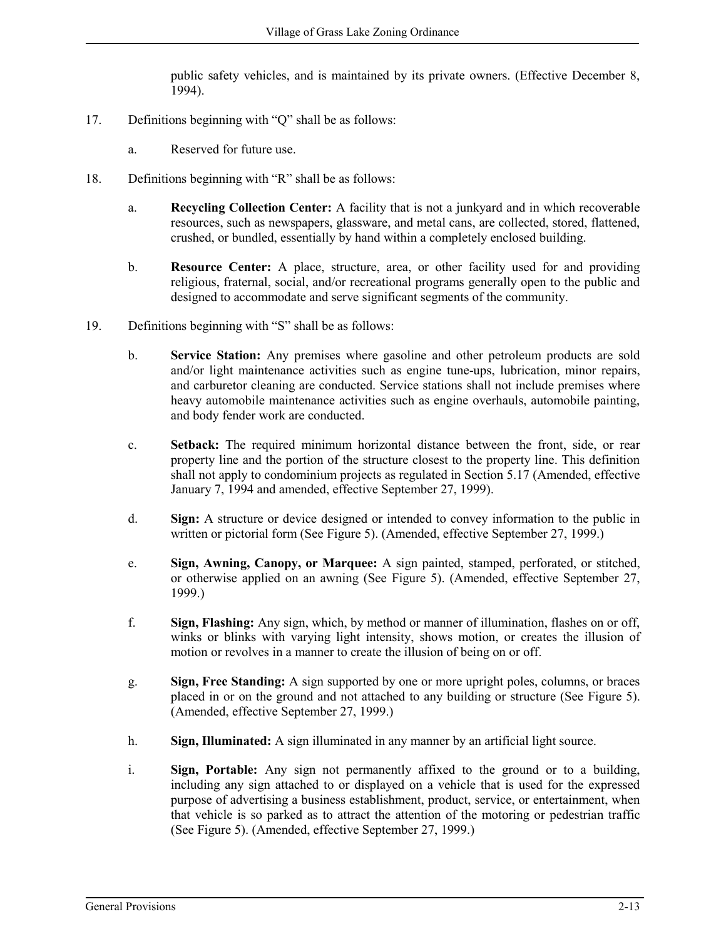public safety vehicles, and is maintained by its private owners. (Effective December 8, 1994).

- 17. Definitions beginning with "Q" shall be as follows:
	- a. Reserved for future use.
- 18. Definitions beginning with "R" shall be as follows:
	- a. **Recycling Collection Center:** A facility that is not a junkyard and in which recoverable resources, such as newspapers, glassware, and metal cans, are collected, stored, flattened, crushed, or bundled, essentially by hand within a completely enclosed building.
	- b. **Resource Center:** A place, structure, area, or other facility used for and providing religious, fraternal, social, and/or recreational programs generally open to the public and designed to accommodate and serve significant segments of the community.
- 19. Definitions beginning with "S" shall be as follows:
	- b. **Service Station:** Any premises where gasoline and other petroleum products are sold and/or light maintenance activities such as engine tune-ups, lubrication, minor repairs, and carburetor cleaning are conducted. Service stations shall not include premises where heavy automobile maintenance activities such as engine overhauls, automobile painting, and body fender work are conducted.
	- c. **Setback:** The required minimum horizontal distance between the front, side, or rear property line and the portion of the structure closest to the property line. This definition shall not apply to condominium projects as regulated in Section 5.17 (Amended, effective January 7, 1994 and amended, effective September 27, 1999).
	- d. **Sign:** A structure or device designed or intended to convey information to the public in written or pictorial form (See Figure 5). (Amended, effective September 27, 1999.)
	- e. **Sign, Awning, Canopy, or Marquee:** A sign painted, stamped, perforated, or stitched, or otherwise applied on an awning (See Figure 5). (Amended, effective September 27, 1999.)
	- f. **Sign, Flashing:** Any sign, which, by method or manner of illumination, flashes on or off, winks or blinks with varying light intensity, shows motion, or creates the illusion of motion or revolves in a manner to create the illusion of being on or off.
	- g. **Sign, Free Standing:** A sign supported by one or more upright poles, columns, or braces placed in or on the ground and not attached to any building or structure (See Figure 5). (Amended, effective September 27, 1999.)
	- h. **Sign, Illuminated:** A sign illuminated in any manner by an artificial light source.
	- i. **Sign, Portable:** Any sign not permanently affixed to the ground or to a building, including any sign attached to or displayed on a vehicle that is used for the expressed purpose of advertising a business establishment, product, service, or entertainment, when that vehicle is so parked as to attract the attention of the motoring or pedestrian traffic (See Figure 5). (Amended, effective September 27, 1999.)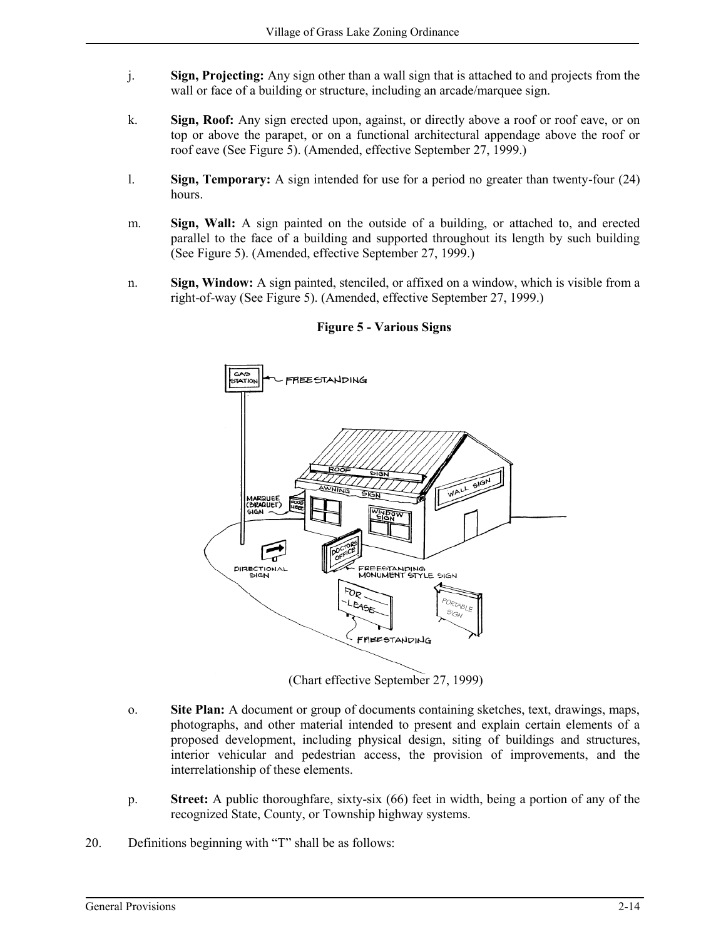- j. **Sign, Projecting:** Any sign other than a wall sign that is attached to and projects from the wall or face of a building or structure, including an arcade/marquee sign.
- k. **Sign, Roof:** Any sign erected upon, against, or directly above a roof or roof eave, or on top or above the parapet, or on a functional architectural appendage above the roof or roof eave (See Figure 5). (Amended, effective September 27, 1999.)
- l. **Sign, Temporary:** A sign intended for use for a period no greater than twenty-four (24) hours.
- m. **Sign, Wall:** A sign painted on the outside of a building, or attached to, and erected parallel to the face of a building and supported throughout its length by such building (See Figure 5). (Amended, effective September 27, 1999.)
- n. **Sign, Window:** A sign painted, stenciled, or affixed on a window, which is visible from a right-of-way (See Figure 5). (Amended, effective September 27, 1999.)



# **Figure 5 - Various Signs**

(Chart effective September 27, 1999)

- o. **Site Plan:** A document or group of documents containing sketches, text, drawings, maps, photographs, and other material intended to present and explain certain elements of a proposed development, including physical design, siting of buildings and structures, interior vehicular and pedestrian access, the provision of improvements, and the interrelationship of these elements.
- p. **Street:** A public thoroughfare, sixty-six (66) feet in width, being a portion of any of the recognized State, County, or Township highway systems.
- 20. Definitions beginning with "T" shall be as follows: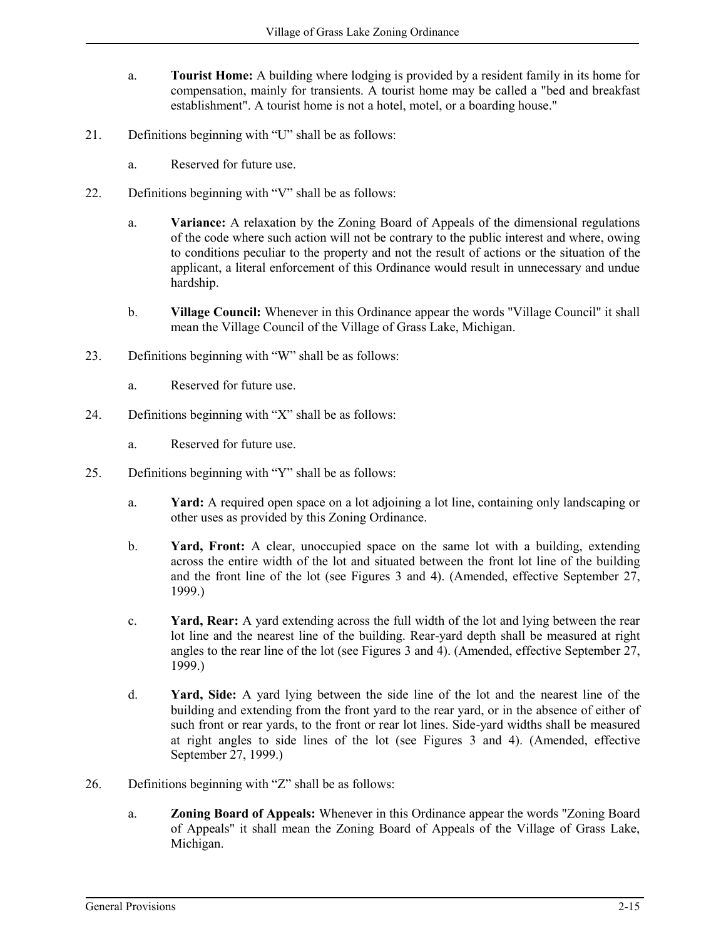- a. **Tourist Home:** A building where lodging is provided by a resident family in its home for compensation, mainly for transients. A tourist home may be called a "bed and breakfast establishment". A tourist home is not a hotel, motel, or a boarding house."
- 21. Definitions beginning with "U" shall be as follows:
	- a. Reserved for future use.
- 22. Definitions beginning with "V" shall be as follows:
	- a. **Variance:** A relaxation by the Zoning Board of Appeals of the dimensional regulations of the code where such action will not be contrary to the public interest and where, owing to conditions peculiar to the property and not the result of actions or the situation of the applicant, a literal enforcement of this Ordinance would result in unnecessary and undue hardship.
	- b. **Village Council:** Whenever in this Ordinance appear the words "Village Council" it shall mean the Village Council of the Village of Grass Lake, Michigan.
- 23. Definitions beginning with "W" shall be as follows:
	- a. Reserved for future use.
- 24. Definitions beginning with "X" shall be as follows:
	- a. Reserved for future use.
- 25. Definitions beginning with "Y" shall be as follows:
	- a. **Yard:** A required open space on a lot adjoining a lot line, containing only landscaping or other uses as provided by this Zoning Ordinance.
	- b. **Yard, Front:** A clear, unoccupied space on the same lot with a building, extending across the entire width of the lot and situated between the front lot line of the building and the front line of the lot (see Figures 3 and 4). (Amended, effective September 27, 1999.)
	- c. **Yard, Rear:** A yard extending across the full width of the lot and lying between the rear lot line and the nearest line of the building. Rear-yard depth shall be measured at right angles to the rear line of the lot (see Figures 3 and 4). (Amended, effective September 27, 1999.)
	- d. **Yard, Side:** A yard lying between the side line of the lot and the nearest line of the building and extending from the front yard to the rear yard, or in the absence of either of such front or rear yards, to the front or rear lot lines. Side-yard widths shall be measured at right angles to side lines of the lot (see Figures 3 and 4). (Amended, effective September 27, 1999.)
- 26. Definitions beginning with "Z" shall be as follows:
	- a. **Zoning Board of Appeals:** Whenever in this Ordinance appear the words "Zoning Board of Appeals" it shall mean the Zoning Board of Appeals of the Village of Grass Lake, Michigan.